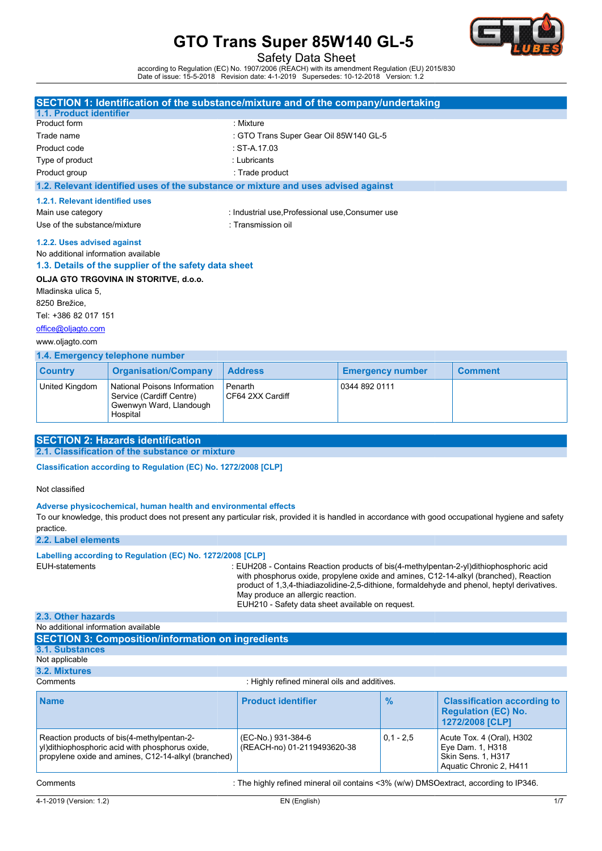

Safety Data Sheet

according to Regulation (EC) No. 1907/2006 (REACH) with its amendment Regulation (EU) 2015/830<br>Date of issue: 15-5-2018 Revision date: 4-1-2019 Supersedes: 10-12-2018 Version: 1.2

|                                     |                                                       | <b>SECTION 1: Identification of the substance/mixture and of the company/undertaking</b> |                         |                |  |
|-------------------------------------|-------------------------------------------------------|------------------------------------------------------------------------------------------|-------------------------|----------------|--|
| 1.1. Product identifier             |                                                       |                                                                                          |                         |                |  |
| Product form                        |                                                       | : Mixture                                                                                |                         |                |  |
| Trade name                          |                                                       | : GTO Trans Super Gear Oil 85W140 GL-5                                                   |                         |                |  |
| Product code                        |                                                       | $:$ ST-A 17.03                                                                           |                         |                |  |
| Type of product                     |                                                       | : Lubricants                                                                             |                         |                |  |
| Product group                       |                                                       | : Trade product                                                                          |                         |                |  |
|                                     |                                                       | 1.2. Relevant identified uses of the substance or mixture and uses advised against       |                         |                |  |
| 1.2.1. Relevant identified uses     |                                                       |                                                                                          |                         |                |  |
| Main use category                   |                                                       | : Industrial use, Professional use, Consumer use                                         |                         |                |  |
| Use of the substance/mixture        |                                                       | : Transmission oil                                                                       |                         |                |  |
| 1.2.2. Uses advised against         |                                                       |                                                                                          |                         |                |  |
| No additional information available |                                                       |                                                                                          |                         |                |  |
|                                     | 1.3. Details of the supplier of the safety data sheet |                                                                                          |                         |                |  |
|                                     | OLJA GTO TRGOVINA IN STORITVE, d.o.o.                 |                                                                                          |                         |                |  |
| Mladinska ulica 5.                  |                                                       |                                                                                          |                         |                |  |
| 8250 Brežice,                       |                                                       |                                                                                          |                         |                |  |
| Tel: +386 82 017 151                |                                                       |                                                                                          |                         |                |  |
| office@oljagto.com                  |                                                       |                                                                                          |                         |                |  |
| www.oljagto.com                     |                                                       |                                                                                          |                         |                |  |
|                                     | 1.4. Emergency telephone number                       |                                                                                          |                         |                |  |
| <b>Country</b>                      | <b>Organisation/Company</b>                           | <b>Address</b>                                                                           | <b>Emergency number</b> | <b>Comment</b> |  |

## www.oljagto.com

### 1.4. Emergency telephone number

| <b>Country</b> | <b>Organisation/Company</b>                                                                     | <b>Address</b>              | <b>Emergency number</b> | <b>Comment</b> |  |  |
|----------------|-------------------------------------------------------------------------------------------------|-----------------------------|-------------------------|----------------|--|--|
| United Kingdom | National Poisons Information<br>Service (Cardiff Centre)<br>Gwenwyn Ward, Llandough<br>Hospital | Penarth<br>CF64 2XX Cardiff | 0344 892 0111           |                |  |  |

### SECTION 2: Hazards identification

2.1. Classification of the substance or mixture

Classification according to Regulation (EC) No. 1272/2008 [CLP]

Not classified

#### Adverse physicochemical, human health and environmental effects

To our knowledge, this product does not present any particular risk, provided it is handled in accordance with good occupational hygiene and safety practice.

2.2. Label elements

#### Labelling according to Regulation (EC) No. 1272/2008 [CLP]

EUH-statements

: EUH208 - Contains Reaction products of bis(4-methylpentan-2-yl)dithiophosphoric acid with phosphorus oxide, propylene oxide and amines, C12-14-alkyl (branched), Reaction product of 1,3,4-thiadiazolidine-2,5-dithione, formaldehyde and phenol, heptyl derivatives. May produce an allergic reaction. EUH210 - Safety data sheet available on request.

## 2.3. Other hazards

| No additional information available                                                                                                                  |                                                                                          |               |                                                                                                |
|------------------------------------------------------------------------------------------------------------------------------------------------------|------------------------------------------------------------------------------------------|---------------|------------------------------------------------------------------------------------------------|
| <b>SECTION 3: Composition/information on ingredients</b>                                                                                             |                                                                                          |               |                                                                                                |
| 3.1. Substances                                                                                                                                      |                                                                                          |               |                                                                                                |
| Not applicable                                                                                                                                       |                                                                                          |               |                                                                                                |
| 3.2. Mixtures                                                                                                                                        |                                                                                          |               |                                                                                                |
| Comments                                                                                                                                             | : Highly refined mineral oils and additives.                                             |               |                                                                                                |
| <b>Name</b>                                                                                                                                          | <b>Product identifier</b>                                                                | $\frac{9}{6}$ | <b>Classification according to</b><br><b>Regulation (EC) No.</b><br>1272/2008 [CLP]            |
| Reaction products of bis(4-methylpentan-2-<br>yl)dithiophosphoric acid with phosphorus oxide,<br>propylene oxide and amines, C12-14-alkyl (branched) | (EC-No.) 931-384-6<br>(REACH-no) 01-2119493620-38                                        | $0.1 - 2.5$   | Acute Tox. 4 (Oral), H302<br>Eye Dam. 1, H318<br>Skin Sens. 1, H317<br>Aquatic Chronic 2, H411 |
| Comments                                                                                                                                             | : The highly refined mineral oil contains $<3\%$ (w/w) DMSO extract, according to IP346. |               |                                                                                                |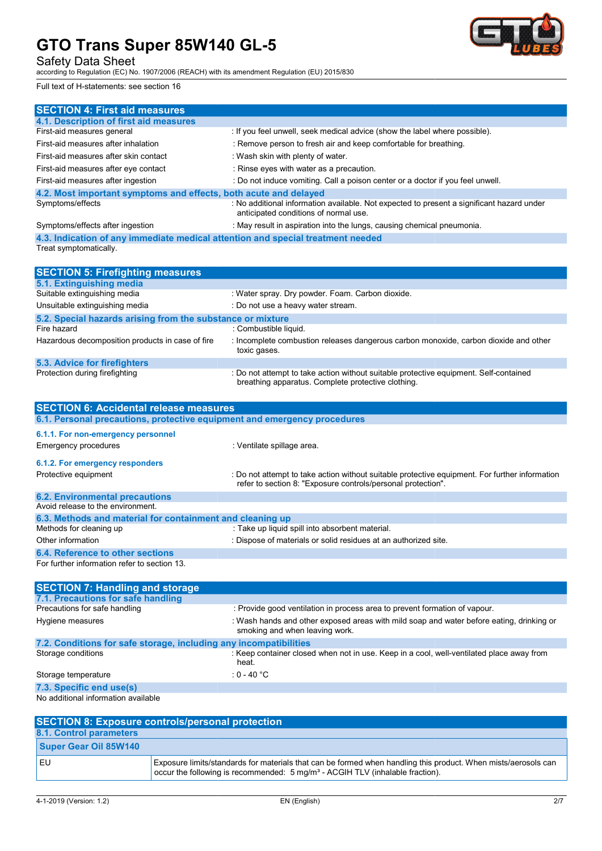Safety Data Sheet

according to Regulation (EC) No. 1907/2006 (REACH) with its amendment Regulation (EU) 2015/830 Regulation (EU)

Full text of H-statements: see section 16



| <b>SECTION 4: First aid measures</b>                                            |                                                                                                                                    |
|---------------------------------------------------------------------------------|------------------------------------------------------------------------------------------------------------------------------------|
| 4.1. Description of first aid measures                                          |                                                                                                                                    |
| First-aid measures general                                                      | : If you feel unwell, seek medical advice (show the label where possible).                                                         |
| First-aid measures after inhalation                                             | : Remove person to fresh air and keep comfortable for breathing.                                                                   |
| First-aid measures after skin contact                                           | : Wash skin with plenty of water.                                                                                                  |
| First-aid measures after eye contact                                            | : Rinse eyes with water as a precaution.                                                                                           |
| First-aid measures after ingestion                                              | : Do not induce vomiting. Call a poison center or a doctor if you feel unwell.                                                     |
| 4.2. Most important symptoms and effects, both acute and delayed                |                                                                                                                                    |
| Symptoms/effects                                                                | : No additional information available. Not expected to present a significant hazard under<br>anticipated conditions of normal use. |
| Symptoms/effects after ingestion                                                | : May result in aspiration into the lungs, causing chemical pneumonia.                                                             |
| 4.3. Indication of any immediate medical attention and special treatment needed |                                                                                                                                    |
| Treat symptomatically.                                                          |                                                                                                                                    |
|                                                                                 |                                                                                                                                    |
| <b>SECTION 5: Firefighting measures</b>                                         |                                                                                                                                    |
| 5.1. Extinguishing media                                                        |                                                                                                                                    |
| Suitable extinguishing media                                                    | : Water spray. Dry powder. Foam. Carbon dioxide.                                                                                   |
| Unsuitable extinguishing media                                                  | : Do not use a heavy water stream.                                                                                                 |

| <b>Prisuitable extinguishing incula</b>                    | . DU HUI USE A HEAVY WAIEL SILEATH.                                                                                                         |  |  |  |  |
|------------------------------------------------------------|---------------------------------------------------------------------------------------------------------------------------------------------|--|--|--|--|
| 5.2. Special hazards arising from the substance or mixture |                                                                                                                                             |  |  |  |  |
| Fire hazard                                                | : Combustible liquid.                                                                                                                       |  |  |  |  |
| Hazardous decomposition products in case of fire           | : Incomplete combustion releases dangerous carbon monoxide, carbon dioxide and other<br>toxic gases.                                        |  |  |  |  |
| 5.3. Advice for firefighters                               |                                                                                                                                             |  |  |  |  |
| Protection during firefighting                             | : Do not attempt to take action without suitable protective equipment. Self-contained<br>breathing apparatus. Complete protective clothing. |  |  |  |  |

| <b>SECTION 6: Accidental release measures</b>                            |                                                                                                                                                                |
|--------------------------------------------------------------------------|----------------------------------------------------------------------------------------------------------------------------------------------------------------|
| 6.1. Personal precautions, protective equipment and emergency procedures |                                                                                                                                                                |
| 6.1.1. For non-emergency personnel<br><b>Emergency procedures</b>        | : Ventilate spillage area.                                                                                                                                     |
| 6.1.2. For emergency responders                                          |                                                                                                                                                                |
| Protective equipment                                                     | : Do not attempt to take action without suitable protective equipment. For further information<br>refer to section 8: "Exposure controls/personal protection". |
| <b>6.2. Environmental precautions</b>                                    |                                                                                                                                                                |
| Avoid release to the environment.                                        |                                                                                                                                                                |
| 6.3. Methods and material for containment and cleaning up                |                                                                                                                                                                |
| Methods for cleaning up                                                  | : Take up liquid spill into absorbent material.                                                                                                                |
| Other information                                                        | : Dispose of materials or solid residues at an authorized site.                                                                                                |
| 6.4. Reference to other sections                                         |                                                                                                                                                                |
| For further information refer to section 13.                             |                                                                                                                                                                |
| <b>SECTION 7: Handling and storage</b>                                   |                                                                                                                                                                |
| 7.1. Precautions for safe handling                                       |                                                                                                                                                                |
| Precautions for safe handling                                            | : Provide good ventilation in process area to prevent formation of vapour.                                                                                     |
| Hygiene measures                                                         | : Wash hands and other exposed areas with mild soap and water before eating, drinking or<br>smoking and when leaving work.                                     |
| 7.2. Conditions for safe storage, including any incompatibilities        |                                                                                                                                                                |
| Storage conditions                                                       | : Keep container closed when not in use. Keep in a cool, well-ventilated place away from                                                                       |

| <b>SECTION 7: Handling and storage</b>                            |                                                                                                                            |
|-------------------------------------------------------------------|----------------------------------------------------------------------------------------------------------------------------|
| 7.1. Precautions for safe handling                                |                                                                                                                            |
| Precautions for safe handling                                     | : Provide good ventilation in process area to prevent formation of vapour.                                                 |
| Hygiene measures                                                  | : Wash hands and other exposed areas with mild soap and water before eating, drinking or<br>smoking and when leaving work. |
| 7.2. Conditions for safe storage, including any incompatibilities |                                                                                                                            |
| Storage conditions                                                | : Keep container closed when not in use. Keep in a cool, well-ventilated place away from<br>heat.                          |
| Storage temperature                                               | : 0 - 40 $^{\circ}$ C                                                                                                      |
| 7.3. Specific end use(s)                                          |                                                                                                                            |
| No additional information available                               |                                                                                                                            |

| <b>SECTION 8: Exposure controls/personal protection</b> |                                                                                                                                                                                                             |  |  |
|---------------------------------------------------------|-------------------------------------------------------------------------------------------------------------------------------------------------------------------------------------------------------------|--|--|
| 8.1. Control parameters                                 |                                                                                                                                                                                                             |  |  |
| Super Gear Oil 85W140                                   |                                                                                                                                                                                                             |  |  |
| EU                                                      | Exposure limits/standards for materials that can be formed when handling this product. When mists/aerosols can<br>occur the following is recommended: 5 mg/m <sup>3</sup> - ACGIH TLV (inhalable fraction). |  |  |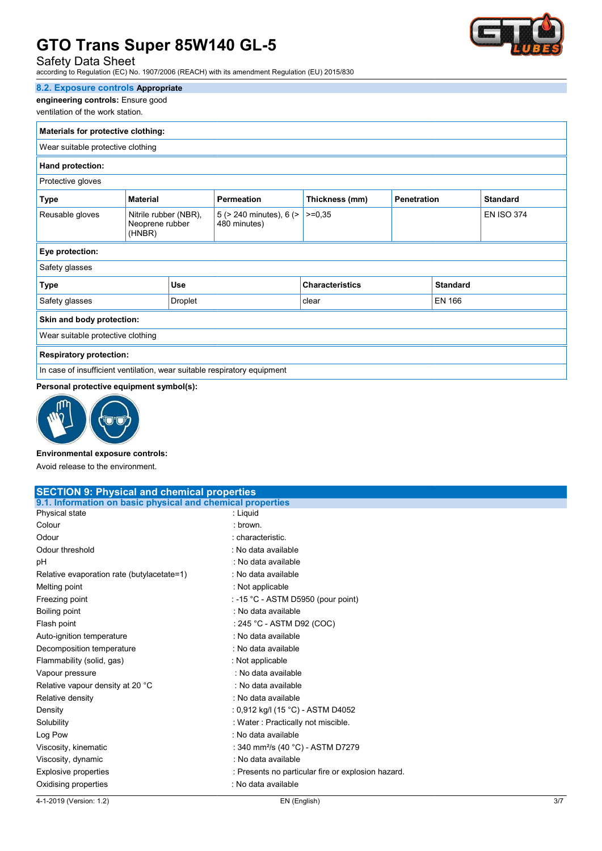## Safety Data Sheet

according to Regulation (EC) No. 1907/2006 (REACH) with its amendment Regulation (EU) 2015/830 Regulation (EU)

### 8.2. Exposure controls Appropriate

engineering controls: Ensure good

## ventilation of the work station.

| Materials for protective clothing:                                       |                                                                                                 |            |                                         |                        |                   |                 |  |
|--------------------------------------------------------------------------|-------------------------------------------------------------------------------------------------|------------|-----------------------------------------|------------------------|-------------------|-----------------|--|
| Wear suitable protective clothing                                        |                                                                                                 |            |                                         |                        |                   |                 |  |
| Hand protection:                                                         |                                                                                                 |            |                                         |                        |                   |                 |  |
| Protective gloves                                                        |                                                                                                 |            |                                         |                        |                   |                 |  |
| <b>Type</b>                                                              | Thickness (mm)<br><b>Material</b><br><b>Permeation</b><br><b>Penetration</b><br><b>Standard</b> |            |                                         |                        |                   |                 |  |
| Reusable gloves                                                          | Nitrile rubber (NBR),<br>Neoprene rubber<br>(HNBR)                                              |            | 5 (> 240 minutes), 6 (><br>480 minutes) | $>=0.35$               | <b>EN ISO 374</b> |                 |  |
| Eye protection:                                                          |                                                                                                 |            |                                         |                        |                   |                 |  |
| Safety glasses                                                           |                                                                                                 |            |                                         |                        |                   |                 |  |
| <b>Type</b>                                                              |                                                                                                 | <b>Use</b> |                                         | <b>Characteristics</b> |                   | <b>Standard</b> |  |
| Safety glasses                                                           |                                                                                                 | Droplet    |                                         | clear                  |                   | EN 166          |  |
| Skin and body protection:                                                |                                                                                                 |            |                                         |                        |                   |                 |  |
| Wear suitable protective clothing                                        |                                                                                                 |            |                                         |                        |                   |                 |  |
| <b>Respiratory protection:</b>                                           |                                                                                                 |            |                                         |                        |                   |                 |  |
| In case of insufficient ventilation, wear suitable respiratory equipment |                                                                                                 |            |                                         |                        |                   |                 |  |

## Personal protective equipment symbol(s):



### Environmental exposure controls:

| In case of insufficient ventilation, wear suitable respiratory equipment |                                                    |
|--------------------------------------------------------------------------|----------------------------------------------------|
| Personal protective equipment symbol(s):                                 |                                                    |
|                                                                          |                                                    |
| <b>Environmental exposure controls:</b>                                  |                                                    |
| Avoid release to the environment.                                        |                                                    |
| <b>SECTION 9: Physical and chemical properties</b>                       |                                                    |
| 9.1. Information on basic physical and chemical properties               |                                                    |
| Physical state                                                           | : Liquid                                           |
| Colour                                                                   | : brown                                            |
| Odour                                                                    | : characteristic.                                  |
| Odour threshold                                                          | : No data available                                |
| рH                                                                       | : No data available                                |
| Relative evaporation rate (butylacetate=1)                               | : No data available                                |
| Melting point                                                            | : Not applicable                                   |
| Freezing point                                                           | : -15 °C - ASTM D5950 (pour point)                 |
| Boiling point                                                            | : No data available                                |
| Flash point                                                              | : 245 °C - ASTM D92 (COC)                          |
| Auto-ignition temperature                                                | : No data available                                |
| Decomposition temperature                                                | : No data available                                |
| Flammability (solid, gas)                                                | : Not applicable                                   |
| Vapour pressure                                                          | : No data available                                |
| Relative vapour density at 20 °C                                         | : No data available                                |
| Relative density                                                         | : No data available                                |
| Density                                                                  | : 0,912 kg/l (15 °C) - ASTM D4052                  |
| Solubility                                                               | : Water : Practically not miscible.                |
| Log Pow                                                                  | : No data available                                |
| Viscosity, kinematic                                                     | : 340 mm <sup>2</sup> /s (40 °C) - ASTM D7279      |
| Viscosity, dynamic                                                       | : No data available                                |
| <b>Explosive properties</b>                                              | : Presents no particular fire or explosion hazard. |
| Oxidising properties                                                     | : No data available                                |

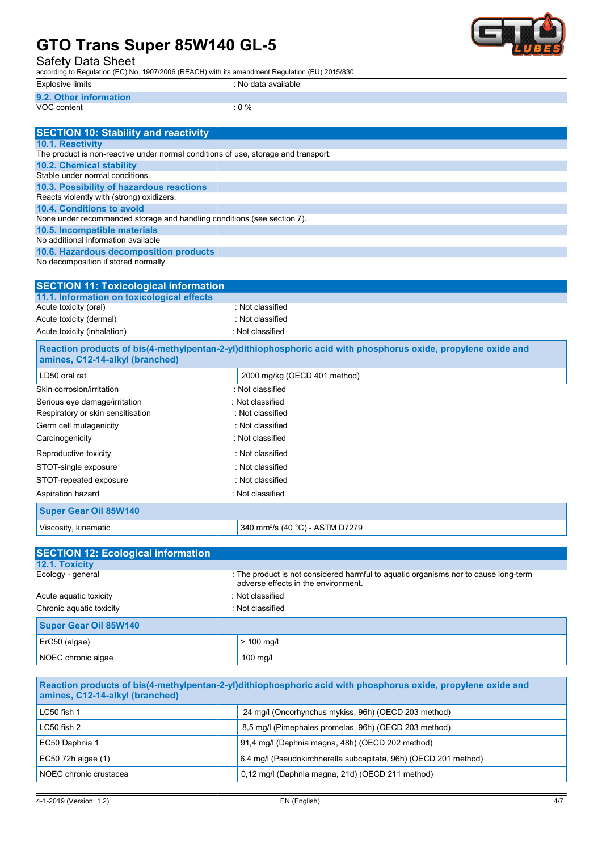Safety Data Sheet

according to Regulation (EC) No. 1907/2006 (REACH) with its amendment Regulation (EU) 2015/830 Regulation (EU)

| __<br>__                | __                             |  |
|-------------------------|--------------------------------|--|
| Explosive limits        | available »<br>ು data .<br>No. |  |
| <b>9.2. Other</b><br>тn |                                |  |

VOC content : 0 %

| <b>SECTION 10: Stability and reactivity</b>                                        |                  |  |  |
|------------------------------------------------------------------------------------|------------------|--|--|
| <b>10.1. Reactivity</b>                                                            |                  |  |  |
| The product is non-reactive under normal conditions of use, storage and transport. |                  |  |  |
| 10.2. Chemical stability                                                           |                  |  |  |
| Stable under normal conditions.                                                    |                  |  |  |
| 10.3. Possibility of hazardous reactions                                           |                  |  |  |
| Reacts violently with (strong) oxidizers.                                          |                  |  |  |
| 10.4. Conditions to avoid                                                          |                  |  |  |
| None under recommended storage and handling conditions (see section 7).            |                  |  |  |
| 10.5. Incompatible materials                                                       |                  |  |  |
| No additional information available                                                |                  |  |  |
| 10.6. Hazardous decomposition products                                             |                  |  |  |
| No decomposition if stored normally.                                               |                  |  |  |
|                                                                                    |                  |  |  |
| <b>SECTION 11: Toxicological information</b>                                       |                  |  |  |
| 11.1. Information on toxicological effects                                         |                  |  |  |
| Acute toxicity (oral)                                                              | : Not classified |  |  |
| Acute toxicity (dermal)                                                            | : Not classified |  |  |
| Acute toxicity (inhalation)                                                        | : Not classified |  |  |

| <b>SECTION 11: Toxicological information</b> |                  |
|----------------------------------------------|------------------|
| 11.1. Information on toxicological effects   |                  |
| Acute toxicity (oral)                        | : Not classified |
| Acute toxicity (dermal)                      | : Not classified |
| Acute toxicity (inhalation)                  | · Not classified |
|                                              |                  |

Reaction products of bis(4-methylpentan-2-yl)dithiophosphoric acid with phosphorus oxide, propylene oxide and amines, C12-14-alkyl (branched)

| LD50 oral rat                     | 2000 mg/kg (OECD 401 method)                |  |
|-----------------------------------|---------------------------------------------|--|
| Skin corrosion/irritation         | : Not classified                            |  |
| Serious eye damage/irritation     | : Not classified                            |  |
| Respiratory or skin sensitisation | : Not classified                            |  |
| Germ cell mutagenicity            | : Not classified                            |  |
| Carcinogenicity                   | : Not classified                            |  |
| Reproductive toxicity             | : Not classified                            |  |
| STOT-single exposure              | : Not classified                            |  |
| STOT-repeated exposure            | : Not classified                            |  |
| Aspiration hazard                 | : Not classified                            |  |
| <b>Super Gear Oil 85W140</b>      |                                             |  |
| Viscosity, kinematic              | 340 mm <sup>2</sup> /s (40 °C) - ASTM D7279 |  |

| <b>SECTION 12: Ecological information</b>    |                                                                                                                            |  |
|----------------------------------------------|----------------------------------------------------------------------------------------------------------------------------|--|
| 12.1. Toxicity                               |                                                                                                                            |  |
| Ecology - general                            | : The product is not considered harmful to aquatic organisms nor to cause long-term<br>adverse effects in the environment. |  |
| Acute aguatic toxicity                       | : Not classified                                                                                                           |  |
| Chronic aquatic toxicity<br>: Not classified |                                                                                                                            |  |
| <b>Super Gear Oil 85W140</b>                 |                                                                                                                            |  |
| ErC50 (algae)                                | $> 100$ mg/l                                                                                                               |  |
| NOEC chronic algae                           | $100 \text{ m}$ g/l                                                                                                        |  |

| Reaction products of bis(4-methylpentan-2-yl)dithiophosphoric acid with phosphorus oxide, propylene oxide and<br>amines, C12-14-alkyl (branched) |                                                                  |  |
|--------------------------------------------------------------------------------------------------------------------------------------------------|------------------------------------------------------------------|--|
| 24 mg/l (Oncorhynchus mykiss, 96h) (OECD 203 method)<br>$LC50$ fish 1                                                                            |                                                                  |  |
| $LC50$ fish $2$                                                                                                                                  | 8,5 mg/l (Pimephales promelas, 96h) (OECD 203 method)            |  |
| EC50 Daphnia 1                                                                                                                                   | 91,4 mg/l (Daphnia magna, 48h) (OECD 202 method)                 |  |
| EC50 72h algae (1)                                                                                                                               | 6.4 mg/l (Pseudokirchnerella subcapitata, 96h) (OECD 201 method) |  |
| NOEC chronic crustacea                                                                                                                           | 0,12 mg/l (Daphnia magna, 21d) (OECD 211 method)                 |  |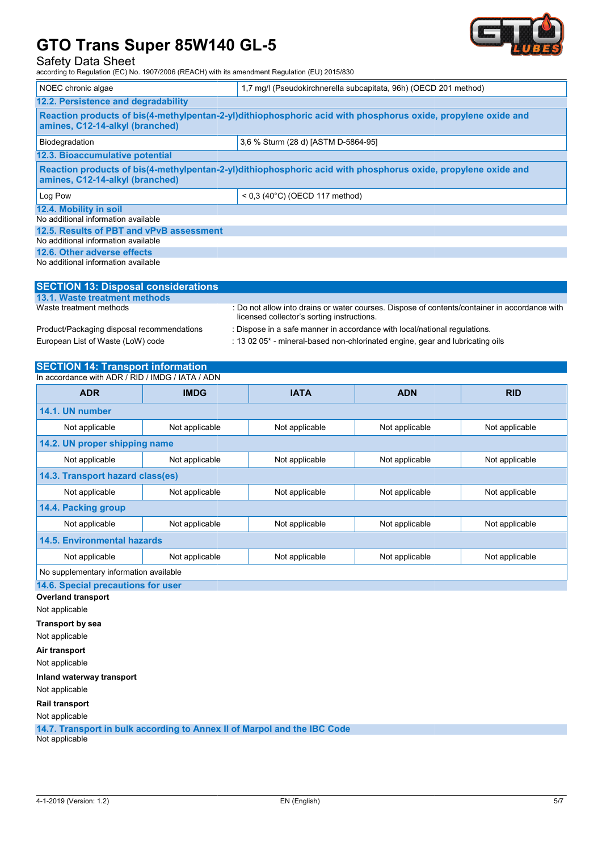Safety Data Sheet

according to Regulation (EC) No. 1907/2006 (REACH) with its amendment Regulation (EU) 2015/830 Regulation (EU)



| NOEC chronic algae                                                                                                                               | 1,7 mg/l (Pseudokirchnerella subcapitata, 96h) (OECD 201 method) |  |  |  |
|--------------------------------------------------------------------------------------------------------------------------------------------------|------------------------------------------------------------------|--|--|--|
| 12.2. Persistence and degradability                                                                                                              |                                                                  |  |  |  |
| Reaction products of bis(4-methylpentan-2-yl)dithiophosphoric acid with phosphorus oxide, propylene oxide and<br>amines, C12-14-alkyl (branched) |                                                                  |  |  |  |
| Biodegradation                                                                                                                                   | 3.6 % Sturm (28 d) [ASTM D-5864-95]                              |  |  |  |
| 12.3. Bioaccumulative potential                                                                                                                  |                                                                  |  |  |  |
| Reaction products of bis(4-methylpentan-2-yl)dithiophosphoric acid with phosphorus oxide, propylene oxide and<br>amines, C12-14-alkyl (branched) |                                                                  |  |  |  |
| Log Pow                                                                                                                                          | $< 0.3$ (40°C) (OECD 117 method)                                 |  |  |  |
| 12.4. Mobility in soil                                                                                                                           |                                                                  |  |  |  |
| No additional information available                                                                                                              |                                                                  |  |  |  |
| 12.5. Results of PBT and vPvB assessment                                                                                                         |                                                                  |  |  |  |
| No additional information available                                                                                                              |                                                                  |  |  |  |
| 12.6. Other adverse effects                                                                                                                      |                                                                  |  |  |  |
| No additional information available                                                                                                              |                                                                  |  |  |  |

| <b>SECTION 13: Disposal considerations</b> |                                                                                                                                             |
|--------------------------------------------|---------------------------------------------------------------------------------------------------------------------------------------------|
| 13.1. Waste treatment methods              |                                                                                                                                             |
| Waste treatment methods                    | : Do not allow into drains or water courses. Dispose of contents/container in accordance with<br>licensed collector's sorting instructions. |
| Product/Packaging disposal recommendations | : Dispose in a safe manner in accordance with local/national regulations.                                                                   |
| European List of Waste (LoW) code          | : 13 02 05 <sup>*</sup> - mineral-based non-chlorinated engine, gear and lubricating oils                                                   |

## SECTION 14: Transport information

| In accordance with ADR / RID / IMDG / IATA / ADN |                                                    |                |                |                |
|--------------------------------------------------|----------------------------------------------------|----------------|----------------|----------------|
| <b>ADR</b>                                       | <b>IMDG</b>                                        | <b>IATA</b>    | <b>ADN</b>     | <b>RID</b>     |
| 14.1. UN number                                  |                                                    |                |                |                |
| Not applicable                                   | Not applicable                                     | Not applicable | Not applicable | Not applicable |
| 14.2. UN proper shipping name                    |                                                    |                |                |                |
| Not applicable                                   | Not applicable                                     | Not applicable | Not applicable |                |
| 14.3. Transport hazard class(es)                 |                                                    |                |                |                |
| Not applicable                                   | Not applicable<br>Not applicable<br>Not applicable |                |                |                |
| 14.4. Packing group                              |                                                    |                |                |                |
| Not applicable                                   | Not applicable                                     | Not applicable | Not applicable | Not applicable |
| 14.5. Environmental hazards                      |                                                    |                |                |                |
| Not applicable                                   | Not applicable                                     | Not applicable | Not applicable | Not applicable |
| No supplementary information available           |                                                    |                |                |                |
| 14.6. Special precautions for user               |                                                    |                |                |                |
| <b>Overland transport</b>                        |                                                    |                |                |                |
| Not applicable                                   |                                                    |                |                |                |
| <b>Transport by sea</b>                          |                                                    |                |                |                |
| Not applicable                                   |                                                    |                |                |                |
| Air transport                                    |                                                    |                |                |                |
| Not applicable                                   |                                                    |                |                |                |
| Inland waterway transport                        |                                                    |                |                |                |

Not applicable

Rail transport

Not applicable

14.7. Transport in bulk according to Annex II of Marpol and the IBC Code Not applicable

4-1-2019 (Version: 1.2)